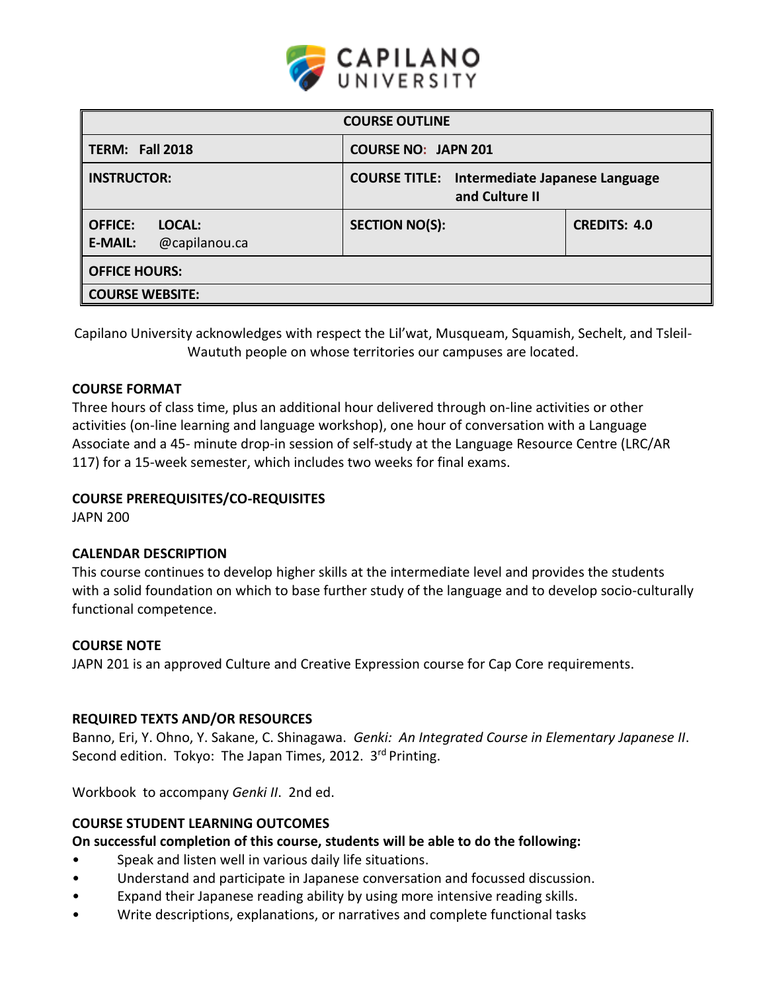

| <b>COURSE OUTLINE</b>                                                                       |                            |                     |  |  |  |  |
|---------------------------------------------------------------------------------------------|----------------------------|---------------------|--|--|--|--|
| TERM: Fall 2018                                                                             | <b>COURSE NO: JAPN 201</b> |                     |  |  |  |  |
| <b>INSTRUCTOR:</b><br><b>COURSE TITLE:</b> Intermediate Japanese Language<br>and Culture II |                            |                     |  |  |  |  |
| <b>OFFICE:</b><br>LOCAL:<br>@capilanou.ca<br><b>E-MAIL:</b>                                 | <b>SECTION NO(S):</b>      | <b>CREDITS: 4.0</b> |  |  |  |  |
| <b>OFFICE HOURS:</b>                                                                        |                            |                     |  |  |  |  |
| <b>COURSE WEBSITE:</b>                                                                      |                            |                     |  |  |  |  |

Capilano University acknowledges with respect the Lil'wat, Musqueam, Squamish, Sechelt, and Tsleil-Waututh people on whose territories our campuses are located.

### **COURSE FORMAT**

Three hours of class time, plus an additional hour delivered through on-line activities or other activities (on-line learning and language workshop), one hour of conversation with a Language Associate and a 45- minute drop-in session of self-study at the Language Resource Centre (LRC/AR 117) for a 15-week semester, which includes two weeks for final exams.

## **COURSE PREREQUISITES/CO-REQUISITES**

JAPN 200

### **CALENDAR DESCRIPTION**

This course continues to develop higher skills at the intermediate level and provides the students with a solid foundation on which to base further study of the language and to develop socio-culturally functional competence.

### **COURSE NOTE**

JAPN 201 is an approved Culture and Creative Expression course for Cap Core requirements.

### **REQUIRED TEXTS AND/OR RESOURCES**

Banno, Eri, Y. Ohno, Y. Sakane, C. Shinagawa. *Genki: An Integrated Course in Elementary Japanese II*. Second edition. Tokyo: The Japan Times, 2012. 3<sup>rd</sup> Printing.

Workbook to accompany *Genki II*. 2nd ed.

### **COURSE STUDENT LEARNING OUTCOMES**

**On successful completion of this course, students will be able to do the following:**

- Speak and listen well in various daily life situations.
- Understand and participate in Japanese conversation and focussed discussion.
- Expand their Japanese reading ability by using more intensive reading skills.
- Write descriptions, explanations, or narratives and complete functional tasks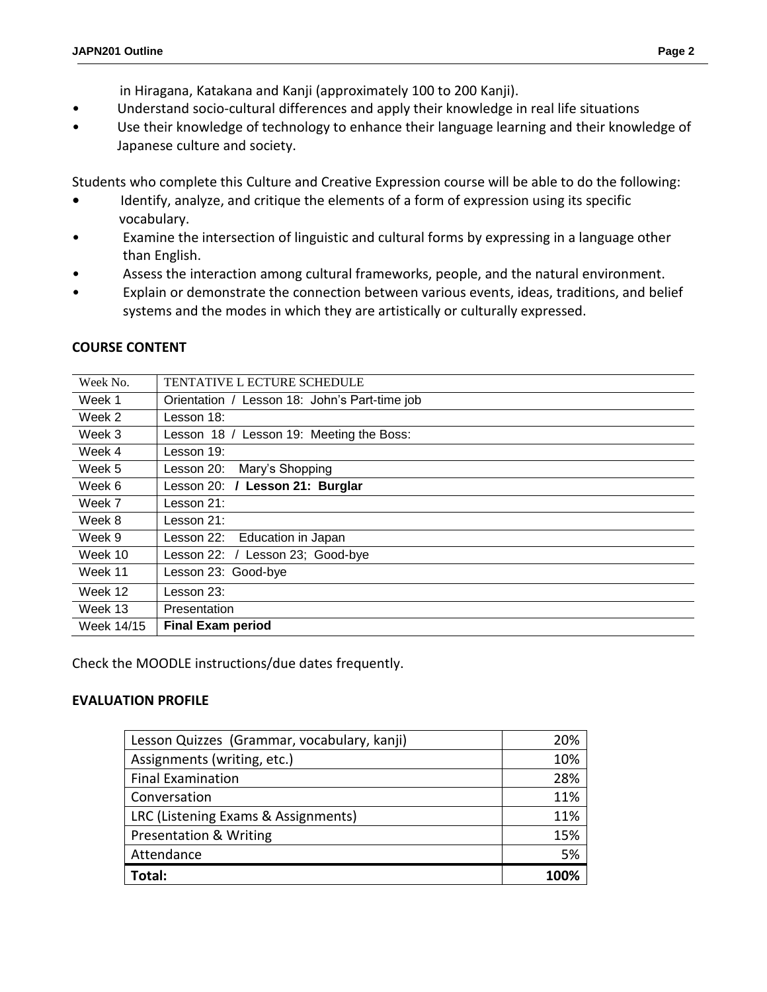- in Hiragana, Katakana and Kanji (approximately 100 to 200 Kanji).
- Understand socio-cultural differences and apply their knowledge in real life situations
- Use their knowledge of technology to enhance their language learning and their knowledge of Japanese culture and society.

Students who complete this Culture and Creative Expression course will be able to do the following:

- **•** Identify, analyze, and critique the elements of a form of expression using its specific vocabulary.
- Examine the intersection of linguistic and cultural forms by expressing in a language other than English.
- Assess the interaction among cultural frameworks, people, and the natural environment.
- Explain or demonstrate the connection between various events, ideas, traditions, and belief systems and the modes in which they are artistically or culturally expressed.

| Week No.   | TENTATIVE L ECTURE SCHEDULE                   |
|------------|-----------------------------------------------|
| Week 1     | Orientation / Lesson 18: John's Part-time job |
| Week 2     | Lesson 18:                                    |
| Week 3     | Lesson 19: Meeting the Boss:<br>Lesson $18/$  |
| Week 4     | Lesson 19:                                    |
| Week 5     | Mary's Shopping<br>Lesson 20:                 |
| Week 6     | Lesson 21: Burglar<br>Lesson 20: $\sqrt{ }$   |
| Week 7     | Lesson 21:                                    |
| Week 8     | Lesson 21:                                    |
| Week 9     | Education in Japan<br>Lesson 22:              |
| Week 10    | Lesson 22: / Lesson 23; Good-bye              |
| Week 11    | Lesson 23: Good-bye                           |
| Week 12    | Lesson 23:                                    |
| Week 13    | Presentation                                  |
| Week 14/15 | <b>Final Exam period</b>                      |
|            |                                               |

# **COURSE CONTENT**

Check the MOODLE instructions/due dates frequently.

## **EVALUATION PROFILE**

| Lesson Quizzes (Grammar, vocabulary, kanji) | 20%  |
|---------------------------------------------|------|
| Assignments (writing, etc.)                 | 10%  |
| <b>Final Examination</b>                    | 28%  |
| Conversation                                | 11%  |
| LRC (Listening Exams & Assignments)         | 11%  |
| <b>Presentation &amp; Writing</b>           | 15%  |
| Attendance                                  | 5%   |
| Total:                                      | 100% |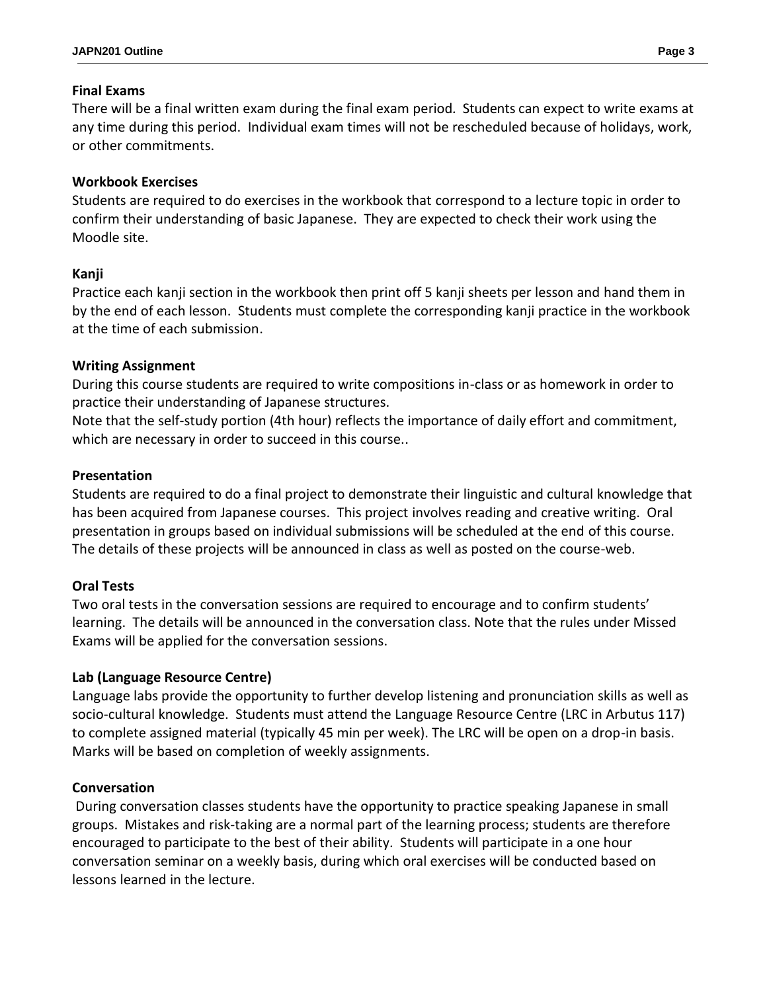## **Final Exams**

There will be a final written exam during the final exam period*.* Students can expect to write exams at any time during this period. Individual exam times will not be rescheduled because of holidays, work, or other commitments.

## **Workbook Exercises**

Students are required to do exercises in the workbook that correspond to a lecture topic in order to confirm their understanding of basic Japanese. They are expected to check their work using the Moodle site.

### **Kanji**

Practice each kanji section in the workbook then print off 5 kanji sheets per lesson and hand them in by the end of each lesson. Students must complete the corresponding kanji practice in the workbook at the time of each submission.

### **Writing Assignment**

During this course students are required to write compositions in-class or as homework in order to practice their understanding of Japanese structures.

Note that the self-study portion (4th hour) reflects the importance of daily effort and commitment, which are necessary in order to succeed in this course..

### **Presentation**

Students are required to do a final project to demonstrate their linguistic and cultural knowledge that has been acquired from Japanese courses. This project involves reading and creative writing. Oral presentation in groups based on individual submissions will be scheduled at the end of this course. The details of these projects will be announced in class as well as posted on the course-web.

## **Oral Tests**

Two oral tests in the conversation sessions are required to encourage and to confirm students' learning. The details will be announced in the conversation class. Note that the rules under Missed Exams will be applied for the conversation sessions.

## **Lab (Language Resource Centre)**

Language labs provide the opportunity to further develop listening and pronunciation skills as well as socio-cultural knowledge. Students must attend the Language Resource Centre (LRC in Arbutus 117) to complete assigned material (typically 45 min per week). The LRC will be open on a drop-in basis. Marks will be based on completion of weekly assignments.

### **Conversation**

During conversation classes students have the opportunity to practice speaking Japanese in small groups. Mistakes and risk-taking are a normal part of the learning process; students are therefore encouraged to participate to the best of their ability. Students will participate in a one hour conversation seminar on a weekly basis, during which oral exercises will be conducted based on lessons learned in the lecture.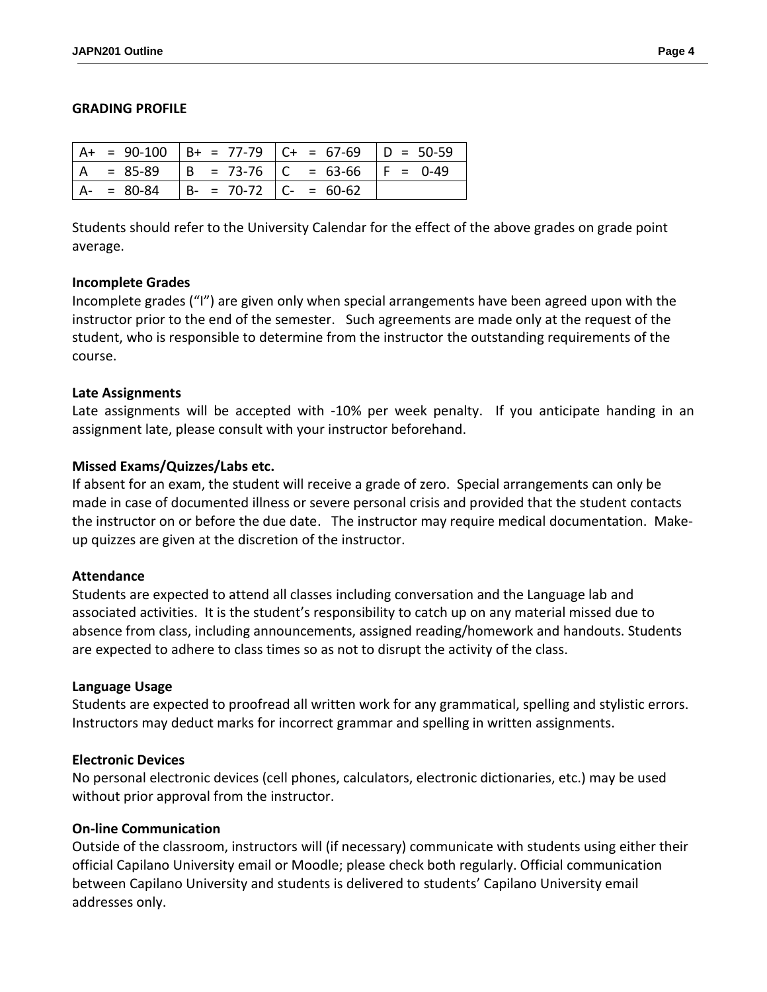### **GRADING PROFILE**

|  |                                           | $A+ = 90-100$ $B+ = 77-79$ $C+ = 67-69$ $D = 50-59$ |  |
|--|-------------------------------------------|-----------------------------------------------------|--|
|  |                                           | $ A = 85-89$ $ B = 73-76$ $ C = 63-66$ $ F = 0-49$  |  |
|  | $ A- = 80-84$ $ B- = 70-72$ $ C- = 60-62$ |                                                     |  |

Students should refer to the University Calendar for the effect of the above grades on grade point average.

### **Incomplete Grades**

Incomplete grades ("I") are given only when special arrangements have been agreed upon with the instructor prior to the end of the semester. Such agreements are made only at the request of the student, who is responsible to determine from the instructor the outstanding requirements of the course.

### **Late Assignments**

Late assignments will be accepted with -10% per week penalty. If you anticipate handing in an assignment late, please consult with your instructor beforehand.

## **Missed Exams/Quizzes/Labs etc.**

If absent for an exam, the student will receive a grade of zero. Special arrangements can only be made in case of documented illness or severe personal crisis and provided that the student contacts the instructor on or before the due date. The instructor may require medical documentation. Makeup quizzes are given at the discretion of the instructor.

### **Attendance**

Students are expected to attend all classes including conversation and the Language lab and associated activities. It is the student's responsibility to catch up on any material missed due to absence from class, including announcements, assigned reading/homework and handouts. Students are expected to adhere to class times so as not to disrupt the activity of the class.

### **Language Usage**

Students are expected to proofread all written work for any grammatical, spelling and stylistic errors. Instructors may deduct marks for incorrect grammar and spelling in written assignments.

### **Electronic Devices**

No personal electronic devices (cell phones, calculators, electronic dictionaries, etc.) may be used without prior approval from the instructor.

### **On-line Communication**

Outside of the classroom, instructors will (if necessary) communicate with students using either their official Capilano University email or Moodle; please check both regularly. Official communication between Capilano University and students is delivered to students' Capilano University email addresses only.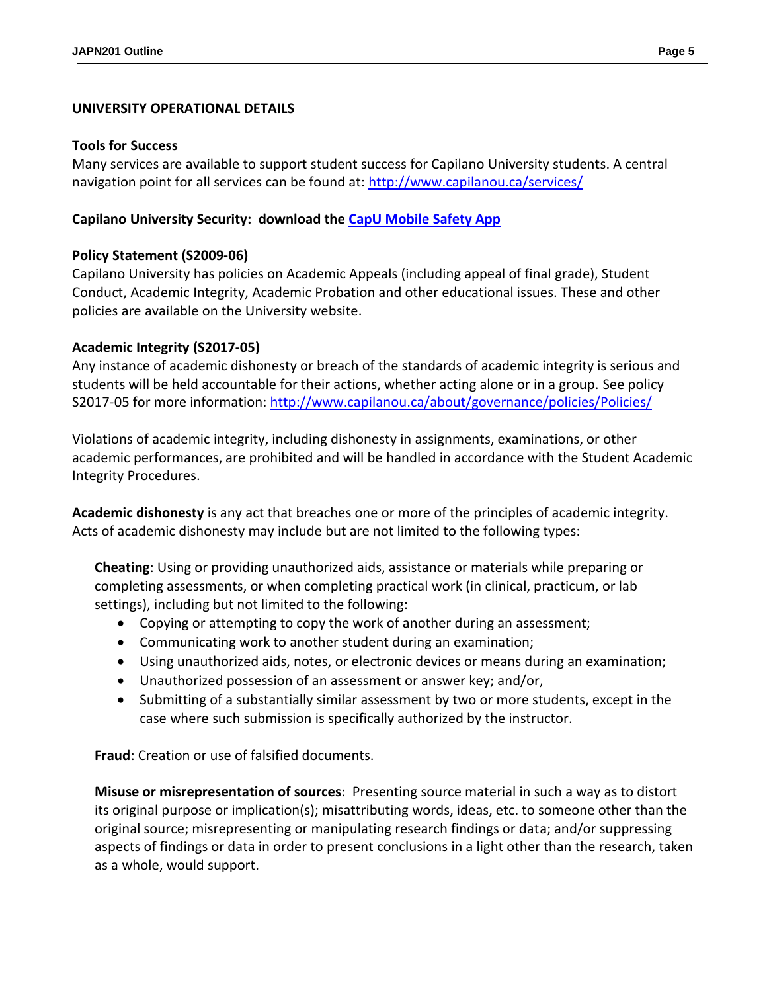## **UNIVERSITY OPERATIONAL DETAILS**

#### **Tools for Success**

Many services are available to support student success for Capilano University students. A central navigation point for all services can be found at:<http://www.capilanou.ca/services/>

### **Capilano University Security: download the [CapU Mobile Safety App](https://www.capilanou.ca/services/safety-security/CapU-Mobile-Safety-App/)**

## **Policy Statement (S2009-06)**

Capilano University has policies on Academic Appeals (including appeal of final grade), Student Conduct, Academic Integrity, Academic Probation and other educational issues. These and other policies are available on the University website.

### **Academic Integrity (S2017-05)**

Any instance of academic dishonesty or breach of the standards of academic integrity is serious and students will be held accountable for their actions, whether acting alone or in a group. See policy S2017-05 for more information: <http://www.capilanou.ca/about/governance/policies/Policies/>

Violations of academic integrity, including dishonesty in assignments, examinations, or other academic performances, are prohibited and will be handled in accordance with the Student Academic Integrity Procedures.

**Academic dishonesty** is any act that breaches one or more of the principles of academic integrity. Acts of academic dishonesty may include but are not limited to the following types:

**Cheating**: Using or providing unauthorized aids, assistance or materials while preparing or completing assessments, or when completing practical work (in clinical, practicum, or lab settings), including but not limited to the following:

- Copying or attempting to copy the work of another during an assessment;
- Communicating work to another student during an examination;
- Using unauthorized aids, notes, or electronic devices or means during an examination;
- Unauthorized possession of an assessment or answer key; and/or,
- Submitting of a substantially similar assessment by two or more students, except in the case where such submission is specifically authorized by the instructor.

**Fraud**: Creation or use of falsified documents.

**Misuse or misrepresentation of sources**: Presenting source material in such a way as to distort its original purpose or implication(s); misattributing words, ideas, etc. to someone other than the original source; misrepresenting or manipulating research findings or data; and/or suppressing aspects of findings or data in order to present conclusions in a light other than the research, taken as a whole, would support.